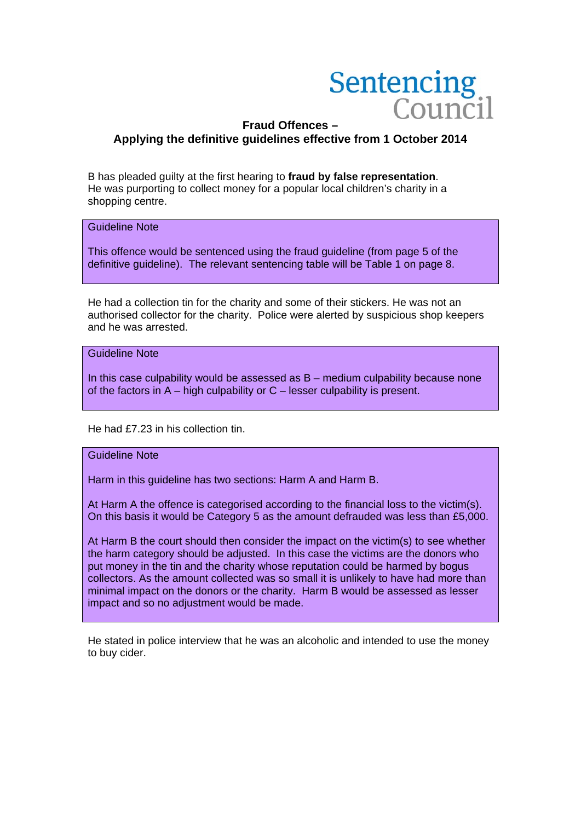

# **Fraud Offences – Applying the definitive guidelines effective from 1 October 2014**

B has pleaded guilty at the first hearing to **fraud by false representation**. He was purporting to collect money for a popular local children's charity in a shopping centre.

#### Guideline Note

This offence would be sentenced using the fraud guideline (from page 5 of the definitive guideline). The relevant sentencing table will be Table 1 on page 8.

He had a collection tin for the charity and some of their stickers. He was not an authorised collector for the charity. Police were alerted by suspicious shop keepers and he was arrested.

Guideline Note

In this case culpability would be assessed as  $B$  – medium culpability because none of the factors in A – high culpability or C – lesser culpability is present.

He had £7.23 in his collection tin.

#### Guideline Note

Harm in this guideline has two sections: Harm A and Harm B.

At Harm A the offence is categorised according to the financial loss to the victim(s). On this basis it would be Category 5 as the amount defrauded was less than £5,000.

At Harm B the court should then consider the impact on the victim(s) to see whether the harm category should be adjusted. In this case the victims are the donors who put money in the tin and the charity whose reputation could be harmed by bogus collectors. As the amount collected was so small it is unlikely to have had more than minimal impact on the donors or the charity. Harm B would be assessed as lesser impact and so no adjustment would be made.

He stated in police interview that he was an alcoholic and intended to use the money to buy cider.